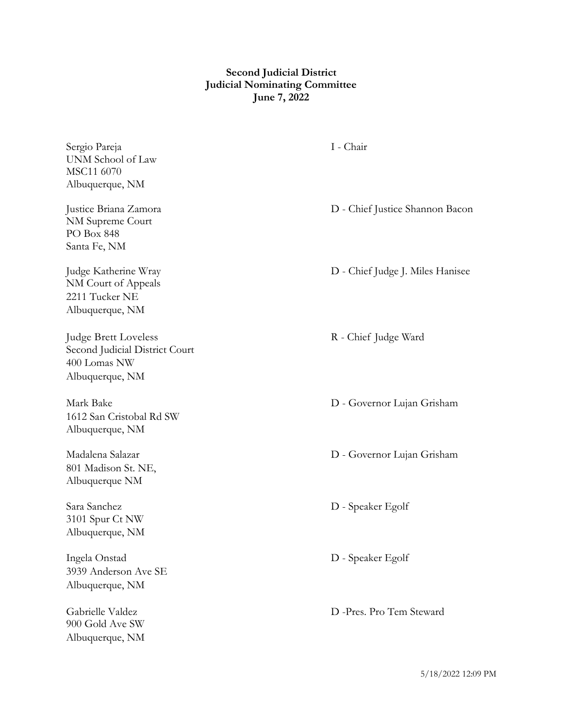## **Second Judicial District Judicial Nominating Committee June 7, 2022**

Sergio Pareja I - Chair UNM School of Law MSC11 6070 Albuquerque, NM

NM Supreme Court PO Box 848 Santa Fe, NM

NM Court of Appeals 2211 Tucker NE Albuquerque, NM

Judge Brett Loveless **R** - Chief Judge Ward Second Judicial District Court 400 Lomas NW Albuquerque, NM

1612 San Cristobal Rd SW Albuquerque, NM

801 Madison St. NE, Albuquerque NM

3101 Spur Ct NW Albuquerque, NM

Ingela Onstad D - Speaker Egolf 3939 Anderson Ave SE Albuquerque, NM

900 Gold Ave SW Albuquerque, NM

Justice Briana Zamora D - Chief Justice Shannon Bacon

Judge Katherine Wray D - Chief Judge J. Miles Hanisee

Mark Bake D - Governor Lujan Grisham

Madalena Salazar D - Governor Lujan Grisham

Sara Sanchez D - Speaker Egolf

Gabrielle Valdez D -Pres. Pro Tem Steward

5/18/2022 12:09 PM